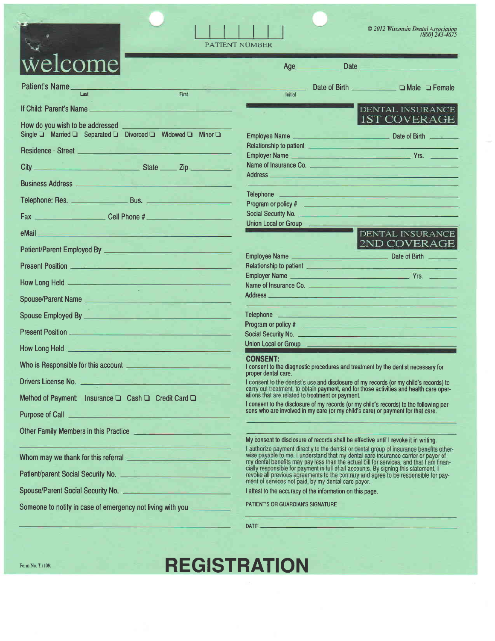|                                                                                                                                                                                                                                                                                    | © 2012 Wisconsin Dental Association<br>(800) 243-4675<br><b>PATIENT NUMBER</b>                                                                                                                                                       |
|------------------------------------------------------------------------------------------------------------------------------------------------------------------------------------------------------------------------------------------------------------------------------------|--------------------------------------------------------------------------------------------------------------------------------------------------------------------------------------------------------------------------------------|
| velcome                                                                                                                                                                                                                                                                            | Date <u>the second contract of the second contract of</u><br>Age                                                                                                                                                                     |
| <b>Patient's Name</b>                                                                                                                                                                                                                                                              | Date of Birth <b>Exercise Service Service</b><br>$\Box$ Male $\Box$ Female                                                                                                                                                           |
| Last<br>First                                                                                                                                                                                                                                                                      | Initial                                                                                                                                                                                                                              |
| If Child: Parent's Name                                                                                                                                                                                                                                                            | <b>DENTAL INSURANCE</b>                                                                                                                                                                                                              |
| How do you wish to be addressed                                                                                                                                                                                                                                                    | <b>1ST COVERAGE</b>                                                                                                                                                                                                                  |
| Single □ Married □ Separated □ Divorced □ Widowed □ Minor □                                                                                                                                                                                                                        | Relationship to patient <b>Access 1999</b>                                                                                                                                                                                           |
| Residence - Street <b>Executive Contract Contract Contract Contract Contract Contract Contract Contract Contract Contract Contract Contract Contract Contract Contract Contract Contract Contract Contract Contract Contract Con</b>                                               | Employer Name <b>Employer Name Employer Name</b>                                                                                                                                                                                     |
| State Zip<br>City                                                                                                                                                                                                                                                                  | Name of Insurance Co. <b>Commission Commission Commission Commission</b>                                                                                                                                                             |
|                                                                                                                                                                                                                                                                                    | Address and the contract of the contract of the contract of the contract of the contract of the contract of the                                                                                                                      |
| <b>Business Address Contract Contract Contract Contract Contract Contract Contract Contract Contract Contract Contract Contract Contract Contract Contract Contract Contract Contract Contract Contract Contract Contract Cont</b>                                                 | Telephone <b>Contract Contract Contract Contract Contract Contract Contract Contract Contract Contract Contract Contract Contract Contract Contract Contract Contract Contract Contract Contract Contract Contract Contract Cont</b> |
|                                                                                                                                                                                                                                                                                    |                                                                                                                                                                                                                                      |
| Fax Cell Phone #                                                                                                                                                                                                                                                                   |                                                                                                                                                                                                                                      |
|                                                                                                                                                                                                                                                                                    | Union Local or Group                                                                                                                                                                                                                 |
| eMail and the contract of the contract of the contract of the contract of the contract of the contract of the                                                                                                                                                                      | <b>DENTAL INSURANCE</b>                                                                                                                                                                                                              |
| Patient/Parent Employed By <b>Contract Contract Patient</b> Parameters                                                                                                                                                                                                             | 2ND COVERAGE                                                                                                                                                                                                                         |
| Present Position <u>the Community of the Community of the Community of the Community of the Community of the Community of the Community of the Community of the Community of the Community of the Community of the Community of </u>                                               | Relationship to patient <b>contract the contract of the contract of the contract of the contract of the contract of the contract of the contract of the contract of the contract of the contract of the contract of the contract</b> |
|                                                                                                                                                                                                                                                                                    | Employer Name <u>and the second of the second of the ST and the ST and the ST and the ST and the ST and the ST and the ST and the ST and the ST and the ST and the ST and the ST and the ST and the ST and the ST and the ST and</u> |
|                                                                                                                                                                                                                                                                                    | Name of Insurance Co.                                                                                                                                                                                                                |
| Spouse/Parent Name                                                                                                                                                                                                                                                                 | Address and the contract of the contract of the contract of the contract of the contract of the contract of the                                                                                                                      |
| Spouse Employed By <b>Executive Contract Contract Contract Contract Contract Contract Contract Contract Contract Contract Contract Contract Contract Contract Contract Contract Contract Contract Contract Contract Contract Con</b>                                               | Telephone <b>Contract Contract Contract Contract Contract Contract Contract Contract Contract Contract Contract Contract Contract Contract Contract Contract Contract Contract Contract Contract Contract Contract Contract Cont</b> |
|                                                                                                                                                                                                                                                                                    | Program or policy # 2009 Contract and Contract and Contract and Contract and Contract and Contract and Contract and Contract and Contract and Contract and Contract and Contract and Contract and Contract and Contract and Co       |
| <b>Present Position</b>                                                                                                                                                                                                                                                            |                                                                                                                                                                                                                                      |
| How Long Held<br>موارد الموارد والمستحدث والمستقر والمستقرح والمستقرح                                                                                                                                                                                                              | Union Local or Group                                                                                                                                                                                                                 |
| Who is Responsible for this account <u>Electronic Community of the Secondary Community of the Secondary Community of the Secondary Community of the Secondary Community of the Secondary Community of the Secondary Community of</u>                                               | <b>CONSENT:</b><br>I consent to the diagnostic procedures and treatment by the dentist necessary for<br>proper dental care.                                                                                                          |
| Drivers License No.                                                                                                                                                                                                                                                                | I consent to the dentist's use and disclosure of my records (or my child's records) to                                                                                                                                               |
| Method of Payment: Insurance □ Cash □ Credit Card □                                                                                                                                                                                                                                | carry out treatment, to obtain payment, and for those activities and health care oper-<br>ations that are related to treatment or payment.                                                                                           |
| Purpose of Call <b>Exercise Contact Contact Contact Contact Contact Contact Contact Contact Contact Contact Contact Contact Contact Contact Contact Contact Contact Contact Contact Contact Contact Contact Contact Contact Cont</b>                                               | I consent to the disclosure of my records (or my child's records) to the following per-<br>sons who are involved in my care (or my child's care) or payment for that care.                                                           |
|                                                                                                                                                                                                                                                                                    |                                                                                                                                                                                                                                      |
| Other Family Members in this Practice                                                                                                                                                                                                                                              | My consent to disclosure of records shall be effective until I revoke it in writing.                                                                                                                                                 |
| <u> 1999 - Johann Barnett, mars et al.</u><br>Whom may we thank for this referral <b>with the contract of the state of the contract of the contract of the contract of the contract of the contract of the contract of the contract of the contract of the contract of the con</b> | I authorize payment directly to the dentist or dental group of insurance benefits other-<br>wise payable to me. I understand that my dental care insurance carrier or payor of                                                       |
|                                                                                                                                                                                                                                                                                    | my dental benefits may pay less than the actual bill for services, and that I am finan-<br>cially responsible for payment in full of all accounts. By signing this statement, I                                                      |
| Patient/parent Social Security No. <u>2008 10:00 Patient/Parent Social Security No.</u>                                                                                                                                                                                            | revoke all previous agreements to the contrary and agree to be responsible for pay-<br>ment of services not paid, by my dental care payor.                                                                                           |
| Spouse/Parent Social Security No. <b>Construction</b>                                                                                                                                                                                                                              | I attest to the accuracy of the information on this page.                                                                                                                                                                            |
| Someone to notify in case of emergency not living with you                                                                                                                                                                                                                         | PATIENT'S OR GUARDIAN'S SIGNATURE                                                                                                                                                                                                    |
|                                                                                                                                                                                                                                                                                    | DATE<br><u> De Santa Maria de Santa Mar</u>                                                                                                                                                                                          |

Form No. THOR REGISTRATION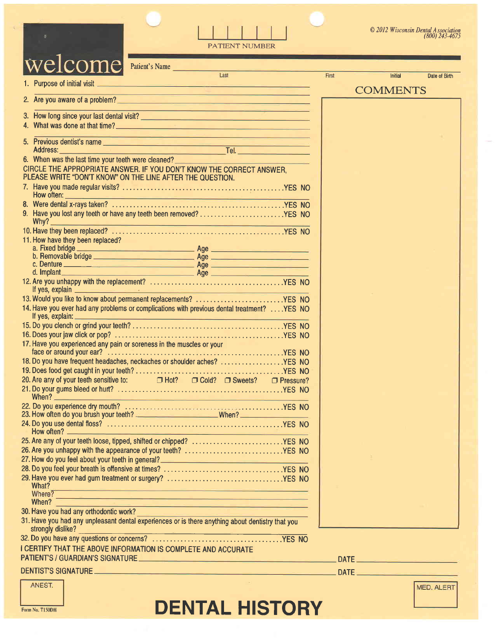

PATIENT NUMBER

| /eicol<br>Patient's Name                                                                                                                                                                                                                       |       |                 |               |
|------------------------------------------------------------------------------------------------------------------------------------------------------------------------------------------------------------------------------------------------|-------|-----------------|---------------|
| Last                                                                                                                                                                                                                                           | First | <b>Initial</b>  | Date of Birth |
| 1. Purpose of initial visit <b>All and Constitution</b> Constitution of the Constitution of the Constitution of the Constitution of the Constitution of the Constitution of the Constitution of the Constitution of the Constitutio            |       | <b>COMMENTS</b> |               |
| <u> 1989 - John Aleksandr Maria Barbara, mengang bertama pada 1989 - John Aleksandr Maria Barbara Barbara Barbara</u>                                                                                                                          |       |                 |               |
| <u> 1989 - Jan Samuel II, maria al III al III-lea (m. 1989)</u>                                                                                                                                                                                |       |                 |               |
| 4. What was done at that time?                                                                                                                                                                                                                 |       |                 |               |
| <u> 1980 - Angels Herrer, Amerikaansk politiker († 1911)</u>                                                                                                                                                                                   |       |                 |               |
|                                                                                                                                                                                                                                                |       |                 |               |
| 6. When was the last time your teeth were cleaned?<br><u>Example 2008</u>                                                                                                                                                                      |       |                 |               |
| CIRCLE THE APPROPRIATE ANSWER. IF YOU DON'T KNOW THE CORRECT ANSWER,                                                                                                                                                                           |       |                 |               |
| PLEASE WRITE "DON'T KNOW" ON THE LINE AFTER THE QUESTION.                                                                                                                                                                                      |       |                 |               |
|                                                                                                                                                                                                                                                |       |                 |               |
| How often: <b>All and Security Contract Contract Contract Contract Contract Contract Contract Contract Contract Contract Contract Contract Contract Contract Contract Contract Contract Contract Contract Contract Contract Cont</b>           |       |                 |               |
|                                                                                                                                                                                                                                                |       |                 |               |
| 9. Have you lost any teeth or have any teeth been removed? YES NO                                                                                                                                                                              |       |                 |               |
|                                                                                                                                                                                                                                                |       |                 |               |
|                                                                                                                                                                                                                                                |       |                 |               |
|                                                                                                                                                                                                                                                |       |                 |               |
| c. Denture                                                                                                                                                                                                                                     |       |                 |               |
|                                                                                                                                                                                                                                                |       |                 |               |
| If yes, explain <u>the contract of the contract of the contract of the contract of the contract of the contract of the contract of the contract of the contract of the contract of the contract of the contract of the contract </u>           |       |                 |               |
| 13. Would you like to know about permanent replacements? YES NO                                                                                                                                                                                |       |                 |               |
| 14. Have you ever had any problems or complications with previous dental treatment?  YES NO                                                                                                                                                    |       |                 |               |
|                                                                                                                                                                                                                                                |       |                 |               |
|                                                                                                                                                                                                                                                |       |                 |               |
| 17. Have you experienced any pain or soreness in the muscles or your                                                                                                                                                                           |       |                 |               |
| 18. Do you have frequent headaches, neckaches or shoulder aches? YES NO                                                                                                                                                                        |       |                 |               |
|                                                                                                                                                                                                                                                |       |                 |               |
| 20. Are any of your teeth sensitive to: $\Box$ Hot? $\Box$ Cold? $\Box$ Sweets? $\Box$ Pressure?                                                                                                                                               |       |                 |               |
| When? <u>New York: New York: New York: New York: New York: New York: New York: New York: New York: New York: New York: New York: New York: New York: New York: New York: New York: New York: New York: New York: New York: New Y</u>           |       |                 |               |
| 23. How often do you brush your teeth? ______________________________When? _________________________                                                                                                                                           |       |                 |               |
|                                                                                                                                                                                                                                                |       |                 |               |
| How often?                                                                                                                                                                                                                                     |       |                 |               |
| 25. Are any of your teeth loose, tipped, shifted or chipped? YES NO                                                                                                                                                                            |       |                 |               |
| 26. Are you unhappy with the appearance of your teeth? YES NO                                                                                                                                                                                  |       |                 |               |
| 27. How do you feel about your teeth in general? <b>Conservation and the set of the set of the set of the set of th</b>                                                                                                                        |       |                 |               |
|                                                                                                                                                                                                                                                |       |                 |               |
| What?<br><u>and the second company of the second company of the second company of the second company of the second company of the second company of the second company of the second company of the second company of the second company </u>  |       |                 |               |
| Where?<br><u> 1980 - An Dùbhlachd ann an Dùbhan Aonaichte ann an Dùbhan Aonaichte ann an Dùbhan Aonaichte ann an Dùbhlachd ann an Dùbhlachd ann an Dùbhlachd ann an Dùbhlachd ann an Dùbhlachd ann an Dùbhlachd ann an Dùbhlachd ann an Dù</u> |       |                 |               |
| When?<br><u> Barbara da Santa Barbara (Barbara) da</u>                                                                                                                                                                                         |       |                 |               |
| 30. Have you had any orthodontic work?                                                                                                                                                                                                         |       |                 |               |
| 31. Have you had any unpleasant dental experiences or is there anything about dentistry that you<br>strongly dislike?                                                                                                                          |       |                 |               |
|                                                                                                                                                                                                                                                |       |                 |               |
| I CERTIFY THAT THE ABOVE INFORMATION IS COMPLETE AND ACCURATE                                                                                                                                                                                  |       |                 |               |
| PATIENT'S / GUARDIAN'S SIGNATURE ________________                                                                                                                                                                                              | DATE. |                 |               |

# DENTIST'S SIGNATURE.

| ANEST. |
|--------|
|        |

MED. ALERT

DATE

# Form No. TI50DH **DENTAL HISTORY**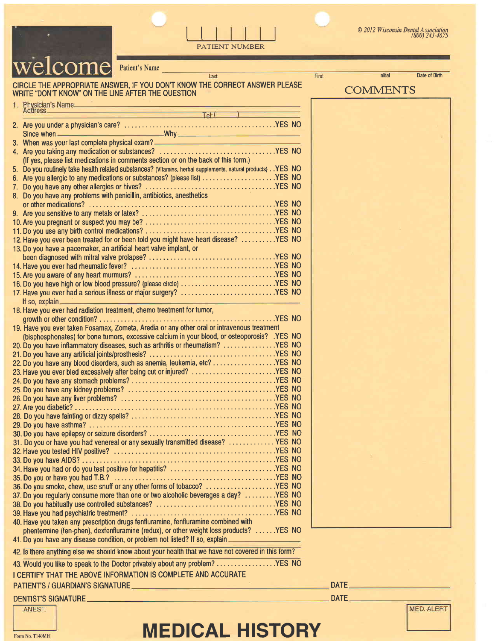

Patient's Name

# CIRCLE THE APPROPRIATE ANSWER, IF YOU DON'T KNOW THE CORRECT ANSWER PLEASE WRITE "DON'T KNOW'ON THE LINE AFTER THE OUESTION

PATIENT NUMBER

Tach

 $\overline{\text{Tel}}$  (  $\overline{\text{Tel}}$  ) 2. Are you under a physician's care? NO Since when why why why when when when we have a structure when we have a structure when we have a structure when we have a structure when we have a structure when we have a structure when we have a structure when we have a 3. When was your last complete physical exam? Are you taking any medication or substances? . . . . .YES 4. NO (lf yes, please list medications in comments section or on the back of this form.) Do you roufinely take health related substances? (Vitamins, herbal supplements, natural products) . .YES 5. NO Are you allergic to any medications or substances? (please lis\$ . . . . . . .YES 6. NO Doyou have any otherallergies or hives? .........YES 7. NO 8. Do you have any problems with penicillin, antibiotics, anesthetics orothermedications? ....YES NO 9. Are you sensitive to any metals or latex? . . .YES NO 10.Are you pregnant orsuspectyou may be? ... ......YES 11.Doyou useany birth controlmedications? .........YES NO NO 11. Bo you also any binn connor mealed for or been told you might have heart disease? . . . . . . . . . . YES NO 13. Do you have a pacemaker, an aftificial heart valve implant, or been diagnosedwith mitralvalve prolapse? ..... ...YES NO 14. Have you ever had rheumatic fever? . . . .. .YES NO 15. Are you aware of any heart murmurs? . . . . .YES NO 16. Do you have high or low blood pressure? {please circle) . . . . . .YES NO 17. Have you ever had a serious illness or niajor surgery? . . . . . .YES NO lf so, explain 18. Have you ever had radiation treatment, chemo treatment for tumor, growthorothercondition?..... ...YES NO <sup>1</sup>9. Have you ever taken Fosamax, Zometa, Aredia or any other oral or inlravenous treatment (bisphosphonates) for bone tumors, excessive calcium in your blood, or osteoporosis? .YES NO 20. Do you have inflammatory diseases, such as arthritis or rheumatism? ...............YES NO 21.Doyou have anyadificialjoints/prosthesis? .... ....YES NO 22. Do you have any blood disorders, such as anemia, leukemia, etc?..................YES NO 23. Have you ever bled excessively after being cut or injured? ..........................YES NO 24. Do you have any stomach problems? . . . . . .YES N0 25. Do you have any kidney problems? . . . . . . .YES NO 26. Do you have any liver problems? . .YES NO 2T.Areyoudiabetic? .YES N0 28. Do you have fainting or dizzy spells? . . . . . .YES NO 29. Do you have asthma? . . . .YES NO 30. Do you have epilepsy or seizure disorders? .YES N0 31. Do you or have you had venereal or any sexually transmitted disease? .............. YES NO 32. Have you tested HIV positive? . . . .YES NO 33. Do you have AIDS? . . . . . .YES N0 34. Have you had or do you test positive for hepatitis? . .YES N0 35. Do you or have you had T.B.? . . . .YES N0 36. Do you smoke, chew, use snuff or any other forms of tobacco? ...................YES NO 37. Do you regularly consume more than one or two alcoholic beverages a day?  $\dots \dots$ . YES NO 38. Do you habitually use controlled substances? . . . . . .YES NO 39. Have you had psychiatric treatment? . . . . . .YES N0 40. Have you taken any prescription drugs fenfluramine, fenfluramine combined with phentermine (fen-phen), dexfenfluramine (redux), or other weight loss products? .....YES NO 41. Do you have any disease condition, or problem not listed? If so, explain ... 42. Is there anything else we should know about your health that we have not covered in this form?

43. Would you like to speak to the Doctor privately about any problem? . . . . . . . . . . . . . . . . YES NO

I CERTIFY THAT THE ABOVE INFORMATION IS COMPLETE AND ACCURATE

# PATIENTS / GUARDIAN'S SIGNATURE

# DENTISTS SIGNATURE

ANEST.



# **FOM NO. THEMELO AND MEDICAL HISTORY**



DATE **And the Community of the Community** 

DATE\_

**COMMENTS** 

First

lnibal Date of Birth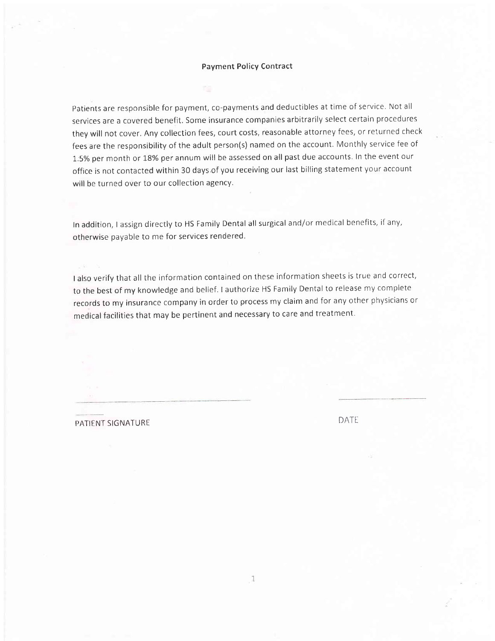## Payment Policy Contract

Patients are responsible for payment, co-payments and deductibles at time of service. Not all services are a covered benefit, Some insurance companies arbitrarily select certain procedures they will not cover, Any collection fees, court costs, reasonable attorney fees, or returned check fees are the responsibility of the adult person(s) named on the account. Monthly service fee of 1.5% per month or 18% per annum will be assessed on all past due accounts. In the event our office is not contacted within 30 days.of you receiving our last billing statement your account will be turned over to our collection agency.

In addition, I assign directly to HS Family Dental all surgical and/or medical benefits, if any, otherwise payable to me for services rendered.

lalso verify that all the information contained on these information sheets is true and correct, to the best of my knowledge and belief. lauthorize HS Family Dental to release my complete records to my insurance company in order to process my claim and for any other physicians or medical facilities that may be pertinent and necessary to care and treatment

PATIENT SIGNATURE DATE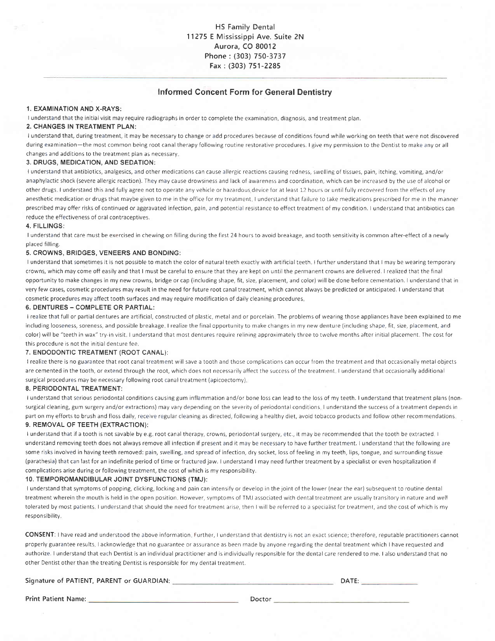# Informed Concent Form for General Dentistry

#### 1. EXAMINATION AND X-RAYS:

I understand that the initial visit may require radiographs in order to complete the examination, diagnosis, and treatment plan.

# 2. CHANGES IN TREATMENT PLAN:

I understand that, during treatment, it may be necessary to change or add procedures because of conditions found while working on teeth that were not discovered during examination-the most common being root canal therapy following routine restorative procedures. I give my permission to the Dentist to make any or all changes and additions to the treatment plan as necessary

#### 3. DRUGS, MEDICATION, AND SEDATION:

I understand that antibiotics, analgesics, and other medicatlons can cause allergic reactions causing redness, swelling of tissues, pain, itching, vomiting, and/or anaphylactic shock (severe allergic reaction). They may cause drowsiness and lack of awareness and coordinatron, which can be increased by the use of alcohol or other drugs I understand this and fully agree not to operate any vehicle or hazardous device tor at least 12 hours or until fully recovered from the effects of any anesthetic medication or drugs that maybe given to me in the office for my treatment. I understand that failure to take medications prescribed for me in the manner prescribed may offer risks of continued or aggravated infection, pain, and potential resistance to effect treatment of my condition. I understand that antibiotics can reduce the effectiveness of oral contraceotives,

#### 4. FILLINGS:

I understand that care must be exercised in chewing on filling during the first 24 hours to avoid breakage, and tooth sensitivity is common after-effect of a newly placed filling.

#### 5, CROWNS, BRIDGES, VENEERS AND BONDING:

I understand that sometimes it is not possible to match the color of natural teeth exactly with artificial teeth. I further understand that I may be wearing temporary crowns, which may come off easily and that I must be careful to ensure that they are kept on until the permanent crowns are delivered, I realized that the final opportunity to make changes in my new crowns, bridge or cap (including shape, fit, size, placement, and color) will be done before cementation. I understand that in very few cases, cosmetic procedures may result in the need for future root canal treatment, which cannot always be predicted or anticipated. I understand that cosmetic procedures may affect tooth surfaces and may require modification of daily cleaning procedures

#### 6. DENTURES - COMPLETE OR PARTIAL:

I realize that full or partial dentures are artificial, constructed of plastic, metal and or porcelain The problems of wearing those appliances have been explained to me includrng looseness, soreness, and possible breakage I realize the final opportunity to make changes in my new denture (including shape, fit, size, placement, and color) will be "teeth in wax" try-in visit. I understand that most dentures require relining approximately three to twelve months after initial placement. The cost for this procedure is not the initial denture fee.

#### 7. ENDODONTIC TREATMENT (ROOT CANAL):

I realize there is no guarantee that root canal treatment will save a tooth and those complrcations can occur from the treatment and that occasionally metal objects are cemented in the tooth, or extend through the root, which does not necessarily affect the success of the treatment. I understand that occasionally additional surgical procedures may be necessary following root canal treatment (apicoectomy)

#### 8, PERIODONTAL TREATMENT:

I understand that serious periodontal conditions causing gum inflammation and/or bone loss can lead to the loss of my teeth. I understand that treatment plans (nonsurgical cleaning, gum surgery and/or extractions) may vary depending on the severity of periodontal conditions I understand the success of a treatment depends in part on my efforts to brush and floss daily, receive regular cleaning as directed, following a healthy diet, avoid tobacco products and follow other recommendations. 9. REMOVAL OF TEETH (EXTRACTION):

I understand that if a tooth is not savable by e.g root canal therapy, crowns, periodontal surgery, etc,, it may be recommended that the tooth be extracted <sup>I</sup> understand removing teeth does not always remove all infection if present and it may be necessary to have further treatment. I understand that the following are some risks involved in having teeth removed: pain, swelling, and spread of infection, dry socket, loss of feeling in my teeth, lips, tongue, and surrounding tissue (parathesia) that can last for an indefinite period of time or fractured jaw. I understand I may need further treatment by a specialist or even hospitalization if complications arise during or following treatment, the cost of which is my responsibility.

#### 10. TEMPOROMANDIBULAR JOINT DYSFUNCTIONS (TMJ):

<sup>I</sup>understand that symptoms of popping, clicking, locking and pain can intensify or develop in the joint of the lower (near the ear) subsequent to routine dental treatment wherein the mouth is held in the open position. However, symptoms of TMJ associated with dental treatment are usually transitory in nature and well tolerated by most patients. I understand that should the need for treatment arise, then I will be referred to a specialist for treatment, and the cost of which is my responsibility.

CONSENT: I have read and understood the above information. Further, I understand that dentistry is not an exact science; therefore, reputable practitioners cannot properly guarantee results I acknowledge that no guarantee or assurance as been made by anyone regarding the dental treatment which I have requested and authorize. I understand that each Dentist is an individual practitioner and is individually responsible for the dental care rendered to me. I also understand that no other Dentist other than the treating Dentist is responsible for my dental treatment.

#### Signature of PATIENT, PARENT or GUARDIAN:

**DATE: DATE:** 

Print Patient Name: Doctor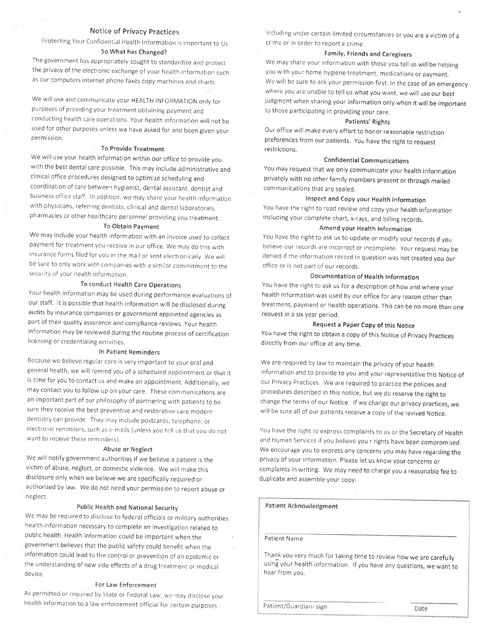# Notice of privacy practices

Protecting Your Confidential Health Information is important to Us So What has Changed?

The government has appropriately sought to standardize and protect the privacy of the electronic exchange of your health information such as our computers internet phone faxes copy machines and charts

We will use and communicate your HEALTH INFORMATION only for purposes of providing your treatment obtaining payment and conducting health care operations. Your health information will not be used for other purposes unless we have asked for and been given your permission.

# To Provide Treatment

We will use your health information within our office to provide you with the best dental care possible. This may include administrative and clinical office procedures designed to optimize scheduling and coordination of care between hygienist, dental assistant, dentist and business office staff, ln addition, we may share your health information with physjcians, referring dentists, clinical and dental laboratorjes, pharmacies or other healthcare personnel providing you treatment

### To Obtain Payment

We may include your health information with an invoice used to collect payment for treatment you receive in our office. We may do this with insurance forms filed for you in the mail or sent electronically. We will be sure to only work with companies with a similar commitment to the secur ity of your health information

# To conduct Health Care Operations

Your health information may be used during performance evaluations of our staff. It is possible that health information will be disclosed during audits by insurance companies or government appointed agencies as part of their quality assurance and compliance reviews. Your health information may be reviewed during the routine process of certification licensing or credentialing activities.

#### In patient Reminders

Because we believe regular care is very important to your oraland general health, we will remind you of a scheduied apporntment or that it is time for you to contact us and make an appointment. Additionally, we may contact you to follow up on your care. These communications are an important part of our philosophy of partnering with patients to be sure they receive the best preventive and restorative care modern dentistry can provide. They may include postcards, telephone, or electronic reminders, such as e-mails (unless you tell us that you do not want to receive these reminders).

### Abuse or Neglect

We will notify government authorities if we believe a patient is the victim of abuse, neglect, or domestic violence. We will make this disclosure only when we believe we are specifically required or authorized by law, We do not need your permission to report abuse or neglect,

# public Health and National Securitv

We may be required to disclose to federal officials or military authorities health information necessary to complete an investigation related to public health Heaith information could be important when the government believes that the public safety could benefit when the information could lead to the control or prevention of an epidemic or the understanding of new side effects of a drug treatment or medical device.

#### For Law Enforcement

As permitted or required by State or Federal Law, we may disclose your health information to a law enforcement official for certain purposes

including under certain limited circumstances or you are a victim of <sup>a</sup> crime or in order to report a crime.

### Family, Friends and Caregivers

We may share your information with those you tell us will be helping you with your home hygiene treatment, medications or pavment. We will be sure to ask your permission first, In the case of an emergency where you are unable to tell us what you want, we will use our best judgment when sharing your information only when it will be important to those participating in providing your care,

#### Patients' Rights

Our office will make every effort to honor reasonable restriction preferences from our patients. you have the right to request restrictions.

### **Confidential Communications**

You may request that we only communicate your health information privately with no other family members present or through mailed communications that are sealed.

# Inspect and Copy your Health Information

You have the right to read review and copy your health information including your complete chart, x-rays, and billing records.

#### Amend your Health Information

You have the right to ask us to update or modify your records if you believe our records are incorrect or incomplete, your request mav be denied if the information record in question was not created you our office or is not part of our records,

# Documentation of Health Information

You have the right to ask us for a description of how and where your health information was used by our office for any reason other than treatment, payment or health operations. This can be no more than one request in a six year period.

# Request a paper Copy of this Notice

You have the right to obtain a copy of this Notice of Privacy Practices directly from our office at any time.

We are required by law to maintain the privacy of your health information and to provide to you and your representative this Notice of our Privacy Practices, We are required to practice the policies and procedures described in this notice, but we do reserve the right to change the terms of our Notice lf we change our privacy practices, we will be sure all of our patients receive a copy of the revised Notice.

You have the right to express complaints to us or the Secretary of Health and Human Services if you believe you r rights have been compromised. We encourage you to express any concerns you may have regarding the privacy of your information. please let us know your concerns or complaints in writing. We may need to charge you a reasonable fee to duplicate and assemble your copy.

#### **Patient Acknowledgment**

Patient Name

Thank you very much for taking time to review how we are carefullv using your health information, lf you have any questions, we want to hear from you.

Patient/Guardian-sign